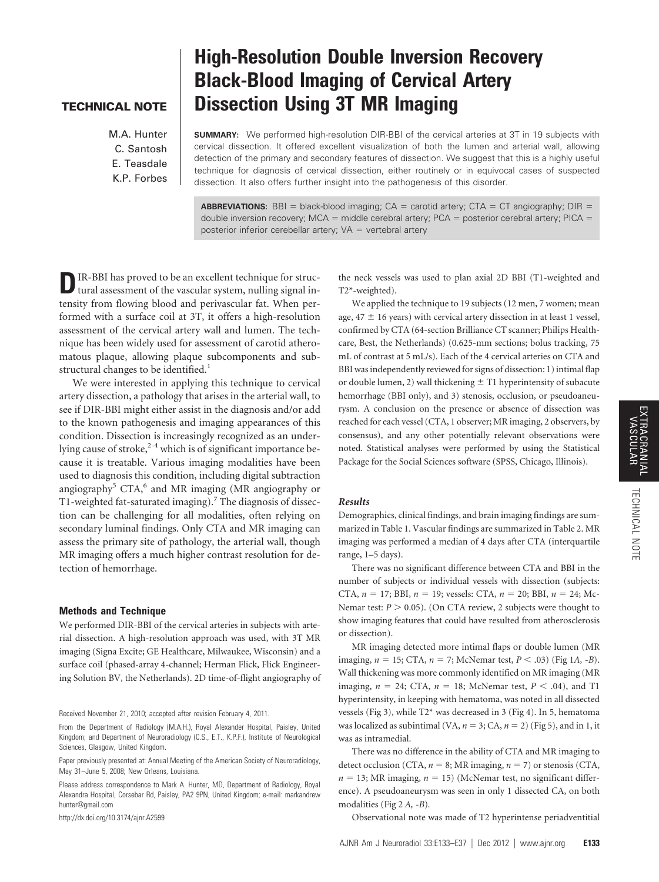## **TECHNICAL NOTE**

M.A. Hunter C. Santosh E. Teasdale K.P. Forbes

# **High-Resolution Double Inversion Recovery Black-Blood Imaging of Cervical Artery Dissection Using 3T MR Imaging**

**SUMMARY:** We performed high-resolution DIR-BBI of the cervical arteries at 3T in 19 subjects with cervical dissection. It offered excellent visualization of both the lumen and arterial wall, allowing detection of the primary and secondary features of dissection. We suggest that this is a highly useful technique for diagnosis of cervical dissection, either routinely or in equivocal cases of suspected dissection. It also offers further insight into the pathogenesis of this disorder.

**ABBREVIATIONS:** BBI = black-blood imaging;  $CA =$  carotid artery;  $CTA = CT$  angiography; DIR = double inversion recovery;  $MCA =$  middle cerebral artery; PCA = posterior cerebral artery; PICA = posterior inferior cerebellar artery;  $VA =$  vertebral artery

**D**IR-BBI has proved to be an excellent technique for structural assessment of the vascular system, nulling signal intensity from flowing blood and perivascular fat. When performed with a surface coil at 3T, it offers a high-resolution assessment of the cervical artery wall and lumen. The technique has been widely used for assessment of carotid atheromatous plaque, allowing plaque subcomponents and substructural changes to be identified.<sup>1</sup>

We were interested in applying this technique to cervical artery dissection, a pathology that arises in the arterial wall, to see if DIR-BBI might either assist in the diagnosis and/or add to the known pathogenesis and imaging appearances of this condition. Dissection is increasingly recognized as an underlying cause of stroke, $2-4$  which is of significant importance because it is treatable. Various imaging modalities have been used to diagnosis this condition, including digital subtraction angiography<sup>5</sup> CTA,<sup>6</sup> and MR imaging (MR angiography or T1-weighted fat-saturated imaging).<sup>7</sup> The diagnosis of dissection can be challenging for all modalities, often relying on secondary luminal findings. Only CTA and MR imaging can assess the primary site of pathology, the arterial wall, though MR imaging offers a much higher contrast resolution for detection of hemorrhage.

## **Methods and Technique**

We performed DIR-BBI of the cervical arteries in subjects with arterial dissection. A high-resolution approach was used, with 3T MR imaging (Signa Excite; GE Healthcare, Milwaukee, Wisconsin) and a surface coil (phased-array 4-channel; Herman Flick, Flick Engineering Solution BV, the Netherlands). 2D time-of-flight angiography of

Received November 21, 2010; accepted after revision February 4, 2011.

From the Department of Radiology (M.A.H.), Royal Alexander Hospital, Paisley, United Kingdom; and Department of Neuroradiology (C.S., E.T., K.P.F.), Institute of Neurological Sciences, Glasgow, United Kingdom.

Paper previously presented at: Annual Meeting of the American Society of Neuroradiology, May 31–June 5, 2008; New Orleans, Louisiana.

Please address correspondence to Mark A. Hunter, MD, Department of Radiology, Royal Alexandra Hospital, Corsebar Rd, Paisley, PA2 9PN, United Kingdom; e-mail: markandrew hunter@gmail.com

http://dx.doi.org/10.3174/ajnr.A2599

the neck vessels was used to plan axial 2D BBI (T1-weighted and T2\*-weighted).

We applied the technique to 19 subjects (12 men, 7 women; mean age,  $47 \pm 16$  years) with cervical artery dissection in at least 1 vessel, confirmed by CTA (64-section Brilliance CT scanner; Philips Healthcare, Best, the Netherlands) (0.625-mm sections; bolus tracking, 75 mL of contrast at 5 mL/s). Each of the 4 cervical arteries on CTA and BBI was independently reviewed for signs of dissection: 1) intimal flap or double lumen, 2) wall thickening  $\pm$  T1 hyperintensity of subacute hemorrhage (BBI only), and 3) stenosis, occlusion, or pseudoaneurysm. A conclusion on the presence or absence of dissection was reached for each vessel (CTA, 1 observer; MR imaging, 2 observers, by consensus), and any other potentially relevant observations were noted. Statistical analyses were performed by using the Statistical Package for the Social Sciences software (SPSS, Chicago, Illinois).

### *Results*

Demographics, clinical findings, and brain imaging findings are summarized in Table 1. Vascular findings are summarized in Table 2. MR imaging was performed a median of 4 days after CTA (interquartile range, 1–5 days).

There was no significant difference between CTA and BBI in the number of subjects or individual vessels with dissection (subjects: CTA,  $n = 17$ ; BBI,  $n = 19$ ; vessels: CTA,  $n = 20$ ; BBI,  $n = 24$ ; Mc-Nemar test:  $P > 0.05$ ). (On CTA review, 2 subjects were thought to show imaging features that could have resulted from atherosclerosis or dissection).

MR imaging detected more intimal flaps or double lumen (MR imaging, *n* 15; CTA, *n* 7; McNemar test, *P* .03) (Fig 1*A, -B*). Wall thickening was more commonly identified on MR imaging (MR imaging,  $n = 24$ ; CTA,  $n = 18$ ; McNemar test,  $P < .04$ ), and T1 hyperintensity, in keeping with hematoma, was noted in all dissected vessels (Fig 3), while T2\* was decreased in 3 (Fig 4). In 5, hematoma was localized as subintimal (VA,  $n = 3$ ; CA,  $n = 2$ ) (Fig 5), and in 1, it was as intramedial.

There was no difference in the ability of CTA and MR imaging to detect occlusion (CTA,  $n = 8$ ; MR imaging,  $n = 7$ ) or stenosis (CTA,  $n = 13$ ; MR imaging,  $n = 15$ ) (McNemar test, no significant difference). A pseudoaneurysm was seen in only 1 dissected CA, on both modalities (Fig 2 *A, -B*)*.*

Observational note was made of T2 hyperintense periadventitial

NOTE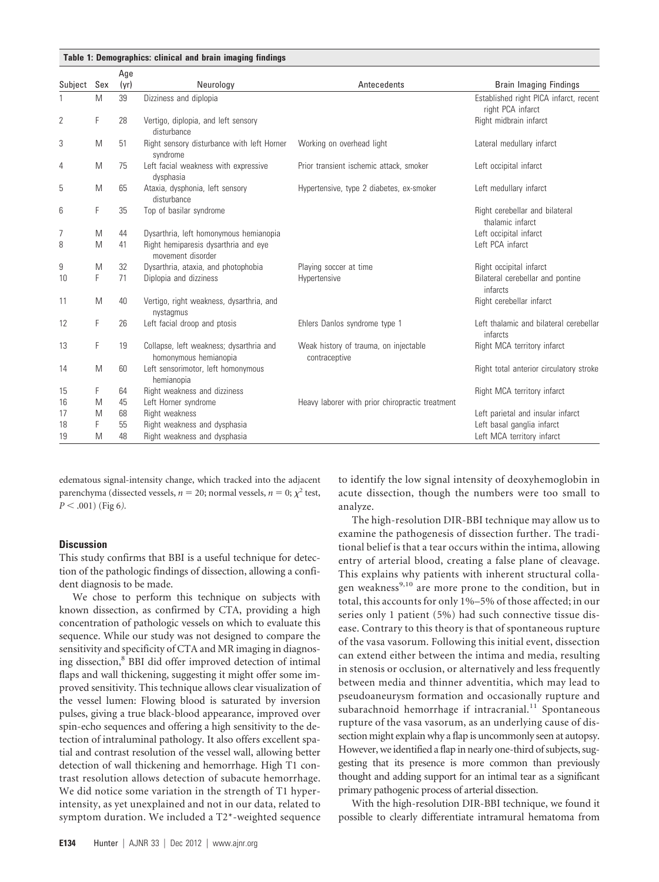|                |     | Age  |                                                                  |                                                        |                                                             |
|----------------|-----|------|------------------------------------------------------------------|--------------------------------------------------------|-------------------------------------------------------------|
| Subject        | Sex | (yr) | Neurology                                                        | Antecedents                                            | <b>Brain Imaging Findings</b>                               |
|                | M   | 39   | Dizziness and diplopia                                           |                                                        | Established right PICA infarct, recent<br>right PCA infarct |
| $\overline{2}$ | F   | 28   | Vertigo, diplopia, and left sensory<br>disturbance               |                                                        | Right midbrain infarct                                      |
| 3              | M   | 51   | Right sensory disturbance with left Horner<br>syndrome           | Working on overhead light                              | Lateral medullary infarct                                   |
| 4              | M   | 75   | Left facial weakness with expressive<br>dysphasia                | Prior transient ischemic attack, smoker                | Left occipital infarct                                      |
| 5              | M   | 65   | Ataxia, dysphonia, left sensory<br>disturbance                   | Hypertensive, type 2 diabetes, ex-smoker               | Left medullary infarct                                      |
| 6              | F   | 35   | Top of basilar syndrome                                          |                                                        | Right cerebellar and bilateral<br>thalamic infarct          |
| 7              | M   | 44   | Dysarthria, left homonymous hemianopia                           |                                                        | Left occipital infarct                                      |
| 8              | M   | 41   | Right hemiparesis dysarthria and eye<br>movement disorder        |                                                        | Left PCA infarct                                            |
| 9              | M   | 32   | Dysarthria, ataxia, and photophobia                              | Playing soccer at time                                 | Right occipital infarct                                     |
| 10             | F   | 71   | Diplopia and dizziness                                           | Hypertensive                                           | Bilateral cerebellar and pontine<br>infarcts                |
| 11             | M   | 40   | Vertigo, right weakness, dysarthria, and<br>nystagmus            |                                                        | Right cerebellar infarct                                    |
| 12             | F   | 26   | Left facial droop and ptosis                                     | Ehlers Danlos syndrome type 1                          | Left thalamic and bilateral cerebellar<br>infarcts          |
| 13             | F   | 19   | Collapse, left weakness; dysarthria and<br>homonymous hemianopia | Weak history of trauma, on injectable<br>contraceptive | Right MCA territory infarct                                 |
| 14             | M   | 60   | Left sensorimotor, left homonymous<br>hemianopia                 |                                                        | Right total anterior circulatory stroke                     |
| 15             | F   | 64   | Right weakness and dizziness                                     |                                                        | Right MCA territory infarct                                 |
| 16             | M   | 45   | Left Horner syndrome                                             | Heavy laborer with prior chiropractic treatment        |                                                             |
| 17             | M   | 68   | Right weakness                                                   |                                                        | Left parietal and insular infarct                           |
| 18             | F   | 55   | Right weakness and dysphasia                                     |                                                        | Left basal ganglia infarct                                  |
| 19             | M   | 48   | Right weakness and dysphasia                                     |                                                        | Left MCA territory infarct                                  |

edematous signal-intensity change, which tracked into the adjacent parenchyma (dissected vessels,  $n = 20$ ; normal vessels,  $n = 0$ ;  $\chi^2$  test,  $P < .001$ ) (Fig 6).

## **Discussion**

This study confirms that BBI is a useful technique for detection of the pathologic findings of dissection, allowing a confident diagnosis to be made.

We chose to perform this technique on subjects with known dissection, as confirmed by CTA, providing a high concentration of pathologic vessels on which to evaluate this sequence. While our study was not designed to compare the sensitivity and specificity of CTA and MR imaging in diagnosing dissection,<sup>8</sup> BBI did offer improved detection of intimal flaps and wall thickening, suggesting it might offer some improved sensitivity. This technique allows clear visualization of the vessel lumen: Flowing blood is saturated by inversion pulses, giving a true black-blood appearance, improved over spin-echo sequences and offering a high sensitivity to the detection of intraluminal pathology. It also offers excellent spatial and contrast resolution of the vessel wall, allowing better detection of wall thickening and hemorrhage. High T1 contrast resolution allows detection of subacute hemorrhage. We did notice some variation in the strength of T1 hyperintensity, as yet unexplained and not in our data, related to symptom duration. We included a T2\*-weighted sequence to identify the low signal intensity of deoxyhemoglobin in acute dissection, though the numbers were too small to analyze.

The high-resolution DIR-BBI technique may allow us to examine the pathogenesis of dissection further. The traditional belief is that a tear occurs within the intima, allowing entry of arterial blood, creating a false plane of cleavage. This explains why patients with inherent structural collagen weakness<sup>9,10</sup> are more prone to the condition, but in total, this accounts for only 1%–5% of those affected; in our series only 1 patient (5%) had such connective tissue disease. Contrary to this theory is that of spontaneous rupture of the vasa vasorum. Following this initial event, dissection can extend either between the intima and media, resulting in stenosis or occlusion, or alternatively and less frequently between media and thinner adventitia, which may lead to pseudoaneurysm formation and occasionally rupture and subarachnoid hemorrhage if intracranial.<sup>11</sup> Spontaneous rupture of the vasa vasorum, as an underlying cause of dissection might explain why a flap is uncommonly seen at autopsy. However, we identified a flap in nearly one-third of subjects, suggesting that its presence is more common than previously thought and adding support for an intimal tear as a significant primary pathogenic process of arterial dissection.

With the high-resolution DIR-BBI technique, we found it possible to clearly differentiate intramural hematoma from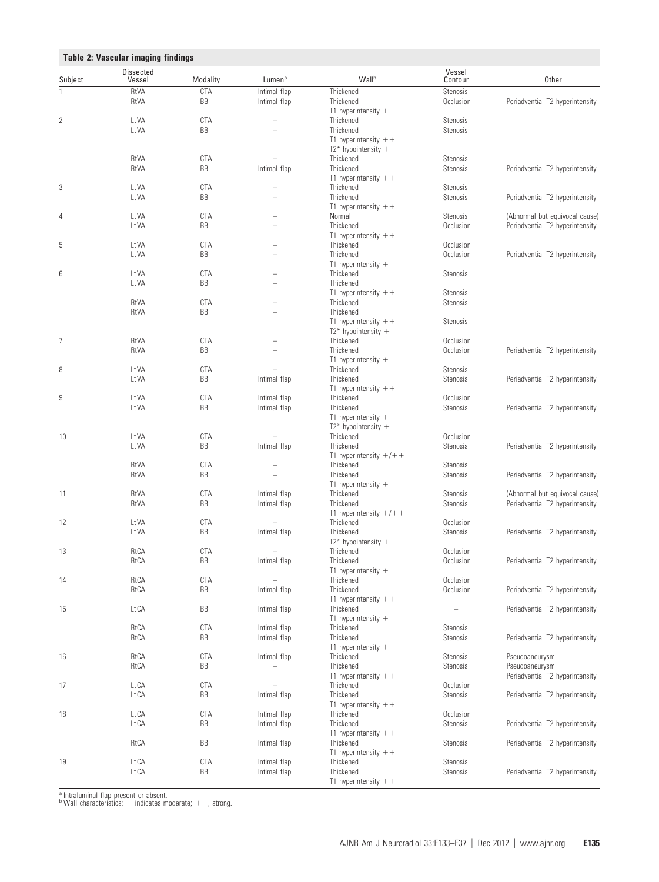| Table 2: Vascular imaging findings |                            |            |                    |                                      |                   |                                 |  |  |  |
|------------------------------------|----------------------------|------------|--------------------|--------------------------------------|-------------------|---------------------------------|--|--|--|
| Subject                            | <b>Dissected</b><br>Vessel | Modality   | Lumen <sup>a</sup> | Wallb                                | Vessel<br>Contour | Other                           |  |  |  |
| 1                                  | RtVA                       | <b>CTA</b> | Intimal flap       | Thickened                            | Stenosis          |                                 |  |  |  |
|                                    | RtVA                       | <b>BBI</b> | Intimal flap       | Thickened                            | Occlusion         | Periadvential T2 hyperintensity |  |  |  |
| $\mathbf{2}$                       | LtVA                       | <b>CTA</b> |                    | T1 hyperintensity $+$<br>Thickened   | Stenosis          |                                 |  |  |  |
|                                    | LtVA                       | <b>BBI</b> |                    | Thickened                            | Stenosis          |                                 |  |  |  |
|                                    |                            |            |                    | T1 hyperintensity $++$               |                   |                                 |  |  |  |
|                                    |                            |            |                    | $T2^*$ hypointensity +               |                   |                                 |  |  |  |
|                                    | RtVA                       | <b>CTA</b> |                    | Thickened                            | Stenosis          |                                 |  |  |  |
|                                    | RtVA                       | <b>BBI</b> | Intimal flap       | Thickened                            | Stenosis          | Periadvential T2 hyperintensity |  |  |  |
|                                    |                            |            |                    | T1 hyperintensity $++$               |                   |                                 |  |  |  |
| 3                                  | LtVA                       | <b>CTA</b> | L.                 | Thickened                            | Stenosis          |                                 |  |  |  |
|                                    | LtVA                       | BBI        |                    | Thickened<br>T1 hyperintensity $++$  | Stenosis          | Periadvential T2 hyperintensity |  |  |  |
| 4                                  | LtVA                       | <b>CTA</b> |                    | Normal                               | Stenosis          | (Abnormal but equivocal cause)  |  |  |  |
|                                    | LtVA                       | <b>BBI</b> | L.                 | Thickened                            | Occlusion         | Periadvential T2 hyperintensity |  |  |  |
|                                    |                            |            |                    | T1 hyperintensity $++$               |                   |                                 |  |  |  |
| 5                                  | LtVA                       | <b>CTA</b> |                    | Thickened                            | Occlusion         |                                 |  |  |  |
|                                    | LtVA                       | BBI        | L.                 | Thickened                            | Occlusion         | Periadvential T2 hyperintensity |  |  |  |
|                                    |                            |            |                    | T1 hyperintensity $+$                |                   |                                 |  |  |  |
| 6                                  | LtVA                       | <b>CTA</b> |                    | Thickened                            | Stenosis          |                                 |  |  |  |
|                                    | LtVA                       | <b>BBI</b> |                    | Thickened                            |                   |                                 |  |  |  |
|                                    |                            | <b>CTA</b> |                    | T1 hyperintensity $++$<br>Thickened  | Stenosis          |                                 |  |  |  |
|                                    | RtVA<br>RtVA               | <b>BBI</b> |                    | Thickened                            | Stenosis          |                                 |  |  |  |
|                                    |                            |            |                    | T1 hyperintensity $++$               | Stenosis          |                                 |  |  |  |
|                                    |                            |            |                    | $T2^*$ hypointensity +               |                   |                                 |  |  |  |
| 7                                  | RtVA                       | <b>CTA</b> |                    | Thickened                            | Occlusion         |                                 |  |  |  |
|                                    | RtVA                       | <b>BBI</b> |                    | Thickened                            | Occlusion         | Periadvential T2 hyperintensity |  |  |  |
|                                    |                            |            |                    | T1 hyperintensity $+$                |                   |                                 |  |  |  |
| 8                                  | LtVA                       | <b>CTA</b> |                    | Thickened                            | Stenosis          |                                 |  |  |  |
|                                    | LtVA                       | <b>BBI</b> | Intimal flap       | Thickened                            | Stenosis          | Periadvential T2 hyperintensity |  |  |  |
|                                    |                            |            |                    | T1 hyperintensity $++$               |                   |                                 |  |  |  |
| 9                                  | LtVA                       | <b>CTA</b> | Intimal flap       | Thickened                            | Occlusion         |                                 |  |  |  |
|                                    | LtVA                       | <b>BBI</b> | Intimal flap       | Thickened<br>T1 hyperintensity $+$   | Stenosis          | Periadvential T2 hyperintensity |  |  |  |
|                                    |                            |            |                    | $T2^*$ hypointensity +               |                   |                                 |  |  |  |
| 10                                 | LtVA                       | <b>CTA</b> |                    | Thickened                            | Occlusion         |                                 |  |  |  |
|                                    | LtVA                       | <b>BBI</b> | Intimal flap       | Thickened                            | Stenosis          | Periadvential T2 hyperintensity |  |  |  |
|                                    |                            |            |                    | T1 hyperintensity $+/+$              |                   |                                 |  |  |  |
|                                    | RtVA                       | <b>CTA</b> |                    | Thickened                            | Stenosis          |                                 |  |  |  |
|                                    | RtVA                       | <b>BBI</b> |                    | Thickened                            | Stenosis          | Periadvential T2 hyperintensity |  |  |  |
|                                    |                            |            |                    | T1 hyperintensity $+$                |                   |                                 |  |  |  |
| 11                                 | RtVA                       | <b>CTA</b> | Intimal flap       | Thickened                            | Stenosis          | (Abnormal but equivocal cause)  |  |  |  |
|                                    | RtVA                       | <b>BBI</b> | Intimal flap       | Thickened                            | Stenosis          | Periadvential T2 hyperintensity |  |  |  |
| 12                                 | LtVA                       | <b>CTA</b> |                    | T1 hyperintensity $+/+$<br>Thickened | Occlusion         |                                 |  |  |  |
|                                    | LtVA                       | <b>BBI</b> | Intimal flap       | Thickened                            | Stenosis          | Periadvential T2 hyperintensity |  |  |  |
|                                    |                            |            |                    | $T2^*$ hypointensity +               |                   |                                 |  |  |  |
| 13                                 | RtCA                       | <b>CTA</b> |                    | Thickened                            | Occlusion         |                                 |  |  |  |
|                                    | RtCA                       | BBI        | Intimal flap       | Thickened                            | Occlusion         | Periadvential T2 hyperintensity |  |  |  |
|                                    |                            |            |                    | T1 hyperintensity $+$                |                   |                                 |  |  |  |
| 14                                 | RtCA                       | <b>CTA</b> |                    | Thickened                            | Occlusion         |                                 |  |  |  |
|                                    | RtCA                       | <b>BBI</b> | Intimal flap       | Thickened                            | Occlusion         | Periadvential T2 hyperintensity |  |  |  |
|                                    |                            |            |                    | T1 hyperintensity $++$               |                   |                                 |  |  |  |
| 15                                 | Lt CA                      | <b>BBI</b> | Intimal flap       | Thickened                            |                   | Periadvential T2 hyperintensity |  |  |  |
|                                    | RtCA                       | <b>CTA</b> | Intimal flap       | T1 hyperintensity $+$<br>Thickened   | Stenosis          |                                 |  |  |  |
|                                    | RtCA                       | <b>BBI</b> | Intimal flap       | Thickened                            | Stenosis          | Periadvential T2 hyperintensity |  |  |  |
|                                    |                            |            |                    | T1 hyperintensity $+$                |                   |                                 |  |  |  |
| 16                                 | RtCA                       | <b>CTA</b> | Intimal flap       | Thickened                            | Stenosis          | Pseudoaneurysm                  |  |  |  |
|                                    | RtCA                       | BBI        |                    | Thickened                            | Stenosis          | Pseudoaneurysm                  |  |  |  |
|                                    |                            |            |                    | T1 hyperintensity $++$               |                   | Periadvential T2 hyperintensity |  |  |  |
| 17                                 | Lt CA                      | <b>CTA</b> |                    | Thickened                            | Occlusion         |                                 |  |  |  |
|                                    | <b>LtCA</b>                | <b>BBI</b> | Intimal flap       | Thickened                            | Stenosis          | Periadvential T2 hyperintensity |  |  |  |
|                                    |                            |            |                    | T1 hyperintensity $++$               |                   |                                 |  |  |  |
| 18                                 | Lt CA                      | <b>CTA</b> | Intimal flap       | Thickened                            | Occlusion         |                                 |  |  |  |
|                                    | Lt CA                      | BBI        | Intimal flap       | Thickened                            | Stenosis          | Periadvential T2 hyperintensity |  |  |  |
|                                    | RtCA                       | <b>BBI</b> | Intimal flap       | T1 hyperintensity $++$<br>Thickened  | Stenosis          | Periadvential T2 hyperintensity |  |  |  |
|                                    |                            |            |                    | T1 hyperintensity $++$               |                   |                                 |  |  |  |
| 19                                 | Lt CA                      | <b>CTA</b> | Intimal flap       | Thickened                            | Stenosis          |                                 |  |  |  |
|                                    | <b>LtCA</b>                | BBI        | Intimal flap       | Thickened                            | Stenosis          | Periadvential T2 hyperintensity |  |  |  |
|                                    |                            |            |                    | T1 hyperintensity $++$               |                   |                                 |  |  |  |
|                                    |                            |            |                    |                                      |                   |                                 |  |  |  |

<sup>a</sup> Intraluminal flap present or absent.<br><sup>b</sup> Wall characteristics: + indicates moderate; ++, strong.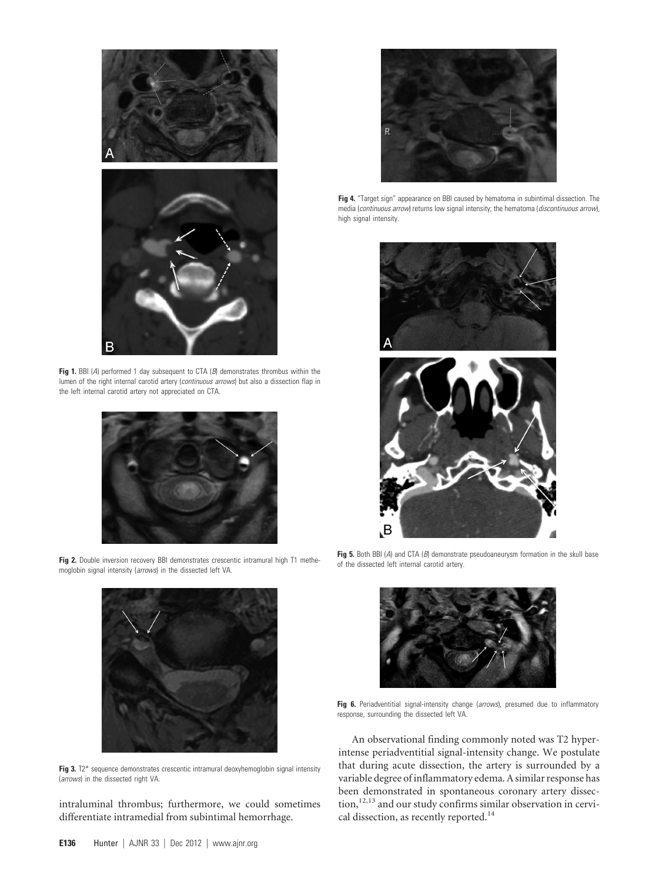

**Fig 1.** BBI (*A*) performed 1 day subsequent to CTA (*B*) demonstrates thrombus within the lumen of the right internal carotid artery (*continuous arrows*) but also a dissection flap in the left internal carotid artery not appreciated on CTA.



**Fig 2.** Double inversion recovery BBI demonstrates crescentic intramural high T1 methemoglobin signal intensity (*arrows*) in the dissected left VA.



**Fig 3.** T2\* sequence demonstrates crescentic intramural deoxyhemoglobin signal intensity (*arrows*) in the dissected right VA.

intraluminal thrombus; furthermore, we could sometimes differentiate intramedial from subintimal hemorrhage.



**Fig 4.** "Target sign" appearance on BBI caused by hematoma in subintimal dissection. The media (*continuous arrow*) returns low signal intensity; the hematoma (*discontinuous arrow*), high signal intensity.



**Fig 5.** Both BBI (*A*) and CTA (*B*) demonstrate pseudoaneurysm formation in the skull base of the dissected left internal carotid artery.



**Fig 6.** Periadventitial signal-intensity change (*arrows*), presumed due to inflammatory response, surrounding the dissected left VA.

An observational finding commonly noted was T2 hyperintense periadventitial signal-intensity change. We postulate that during acute dissection, the artery is surrounded by a variable degree of inflammatory edema. A similar response has been demonstrated in spontaneous coronary artery dissection,<sup>12,13</sup> and our study confirms similar observation in cervical dissection, as recently reported.<sup>14</sup>